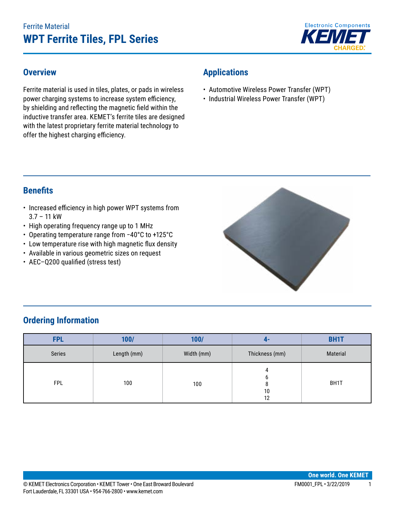# Ferrite Material **WPT Ferrite Tiles, FPL Series**



#### **Overview**

Ferrite material is used in tiles, plates, or pads in wireless power charging systems to increase system efficiency, by shielding and reflecting the magnetic field within the inductive transfer area. KEMET's ferrite tiles are designed with the latest proprietary ferrite material technology to offer the highest charging efficiency.

# **Applications**

- Automotive Wireless Power Transfer (WPT)
- Industrial Wireless Power Transfer (WPT)

#### **Benefits**

- Increased efficiency in high power WPT systems from 3.7 – 11 kW
- High operating frequency range up to 1 MHz
- • Operating temperature range from −40°C to +125°C
- • Low temperature rise with high magnetic flux density
- • Available in various geometric sizes on request
- AEC-Q200 qualified (stress test)



# **Ordering Information**

| <b>FPL</b> | 100/        | 100/       | 4-             | <b>BH1T</b> |
|------------|-------------|------------|----------------|-------------|
| Series     | Length (mm) | Width (mm) | Thickness (mm) | Material    |
| <b>FPL</b> | 100         | 100        | 10<br>12       | BH1T        |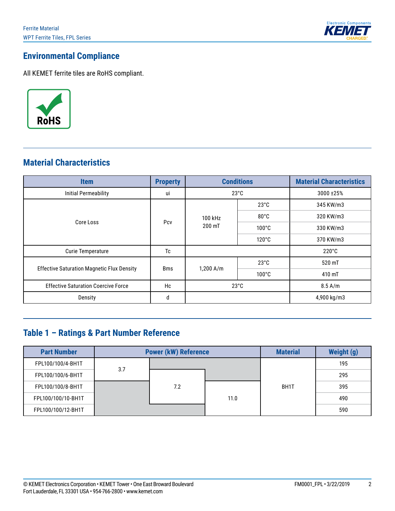

# **Environmental Compliance**

All KEMET ferrite tiles are RoHS compliant.



### **Material Characteristics**

| <b>Item</b>                                       | <b>Property</b> | <b>Conditions</b> |                 | <b>Material Characteristics</b> |
|---------------------------------------------------|-----------------|-------------------|-----------------|---------------------------------|
| <b>Initial Permeability</b>                       | ui              | $23^{\circ}$ C    |                 | 3000 ± 25%                      |
|                                                   | Pcy             |                   | $23^{\circ}$ C  | 345 KW/m3                       |
| Core Loss                                         |                 | 100 kHz<br>200 mT | $80^{\circ}$ C  | 320 KW/m3                       |
|                                                   |                 |                   | $100^{\circ}$ C | 330 KW/m3                       |
|                                                   |                 |                   | $120^{\circ}$ C | 370 KW/m3                       |
| <b>Curie Temperature</b>                          | Tc              |                   |                 | $220^{\circ}$ C                 |
|                                                   | <b>Bms</b>      | $1,200$ A/m       | $23^{\circ}$ C  | 520 mT                          |
| <b>Effective Saturation Magnetic Flux Density</b> |                 |                   | $100^{\circ}$ C | 410 mT                          |
| <b>Effective Saturation Coercive Force</b>        | Hc              | $23^{\circ}$ C    |                 | $8.5$ A/m                       |
| Density                                           | d               |                   |                 | 4,900 kg/m3                     |

# **Table 1 – Ratings & Part Number Reference**

| <b>Part Number</b> | <b>Power (kW) Reference</b> |     |      | <b>Material</b> | Weight (g) |
|--------------------|-----------------------------|-----|------|-----------------|------------|
| FPL100/100/4-BH1T  | 3.7                         |     |      |                 | 195        |
| FPL100/100/6-BH1T  |                             |     |      |                 | 295        |
| FPL100/100/8-BH1T  |                             | 7.2 |      | BH1T            | 395        |
| FPL100/100/10-BH1T |                             |     | 11.0 |                 | 490        |
| FPL100/100/12-BH1T |                             |     |      |                 | 590        |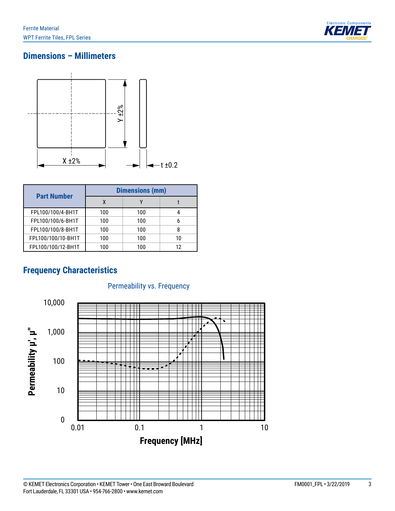

# **Dimensions – Millimeters**



|                    | <b>Dimensions (mm)</b> |     |    |  |
|--------------------|------------------------|-----|----|--|
| <b>Part Number</b> | χ                      |     |    |  |
| FPL100/100/4-BH1T  | 100                    | 100 |    |  |
| FPL100/100/6-BH1T  | 100                    | 100 |    |  |
| FPL100/100/8-BH1T  | 100                    | 100 |    |  |
| FPL100/100/10-BH1T | 100                    | 100 | 10 |  |
| FPL100/100/12-BH1T | 100                    | 100 |    |  |

## **Frequency Characteristics**



#### Permeability vs. Frequency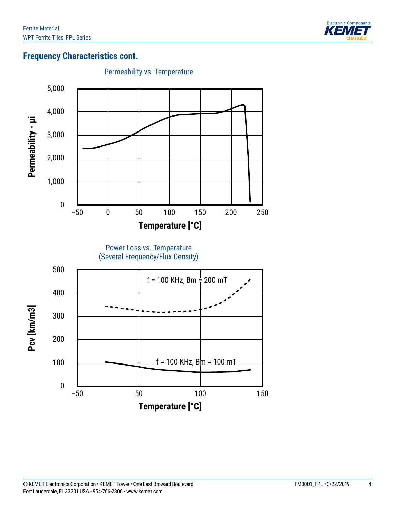

## **Frequency Characteristics cont.**

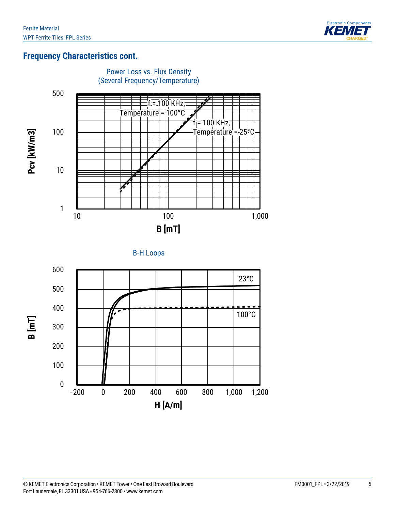

#### **Frequency Characteristics cont.**





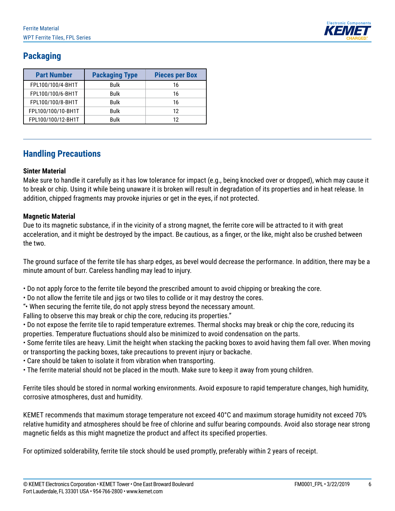

# **Packaging**

| <b>Part Number</b> | <b>Packaging Type</b> | <b>Pieces per Box</b> |  |
|--------------------|-----------------------|-----------------------|--|
| FPL100/100/4-BH1T  | Bulk                  | 16                    |  |
| FPL100/100/6-BH1T  | Bulk                  | 16                    |  |
| FPL100/100/8-BH1T  | <b>Bulk</b>           | 16                    |  |
| FPL100/100/10-BH1T | Bulk                  | 12                    |  |
| FPL100/100/12-BH1T | <b>Bulk</b>           | 12                    |  |

#### **Handling Precautions**

#### **Sinter Material**

Make sure to handle it carefully as it has low tolerance for impact (e.g., being knocked over or dropped), which may cause it to break or chip. Using it while being unaware it is broken will result in degradation of its properties and in heat release. In addition, chipped fragments may provoke injuries or get in the eyes, if not protected.

#### **Magnetic Material**

Due to its magnetic substance, if in the vicinity of a strong magnet, the ferrite core will be attracted to it with great acceleration, and it might be destroyed by the impact. Be cautious, as a finger, or the like, might also be crushed between the two.

The ground surface of the ferrite tile has sharp edges, as bevel would decrease the performance. In addition, there may be a minute amount of burr. Careless handling may lead to injury.

- Do not apply force to the ferrite tile beyond the prescribed amount to avoid chipping or breaking the core.
- Do not allow the ferrite tile and jigs or two tiles to collide or it may destroy the cores.
- "• When securing the ferrite tile, do not apply stress beyond the necessary amount.

Falling to observe this may break or chip the core, reducing its properties."

- Do not expose the ferrite tile to rapid temperature extremes. Thermal shocks may break or chip the core, reducing its properties. Temperature fluctuations should also be minimized to avoid condensation on the parts.
- Some ferrite tiles are heavy. Limit the height when stacking the packing boxes to avoid having them fall over. When moving or transporting the packing boxes, take precautions to prevent injury or backache.
- Care should be taken to isolate it from vibration when transporting.
- The ferrite material should not be placed in the mouth. Make sure to keep it away from young children.

Ferrite tiles should be stored in normal working environments. Avoid exposure to rapid temperature changes, high humidity, corrosive atmospheres, dust and humidity.

KEMET recommends that maximum storage temperature not exceed 40°C and maximum storage humidity not exceed 70% relative humidity and atmospheres should be free of chlorine and sulfur bearing compounds. Avoid also storage near strong magnetic fields as this might magnetize the product and affect its specified properties.

For optimized solderability, ferrite tile stock should be used promptly, preferably within 2 years of receipt.